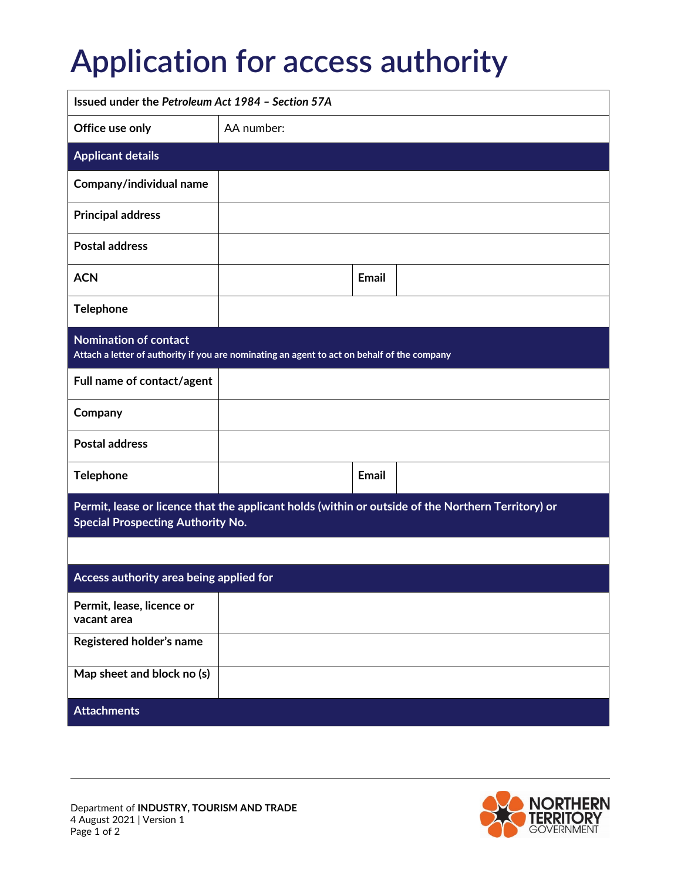## **Application for access authority**

| Issued under the Petroleum Act 1984 - Section 57A                                                                                              |            |              |  |  |
|------------------------------------------------------------------------------------------------------------------------------------------------|------------|--------------|--|--|
| Office use only                                                                                                                                | AA number: |              |  |  |
| <b>Applicant details</b>                                                                                                                       |            |              |  |  |
| Company/individual name                                                                                                                        |            |              |  |  |
| <b>Principal address</b>                                                                                                                       |            |              |  |  |
| <b>Postal address</b>                                                                                                                          |            |              |  |  |
| <b>ACN</b>                                                                                                                                     |            | <b>Email</b> |  |  |
| Telephone                                                                                                                                      |            |              |  |  |
| <b>Nomination of contact</b><br>Attach a letter of authority if you are nominating an agent to act on behalf of the company                    |            |              |  |  |
| Full name of contact/agent                                                                                                                     |            |              |  |  |
| Company                                                                                                                                        |            |              |  |  |
| <b>Postal address</b>                                                                                                                          |            |              |  |  |
| Telephone                                                                                                                                      |            | <b>Email</b> |  |  |
| Permit, lease or licence that the applicant holds (within or outside of the Northern Territory) or<br><b>Special Prospecting Authority No.</b> |            |              |  |  |
|                                                                                                                                                |            |              |  |  |
| Access authority area being applied for                                                                                                        |            |              |  |  |
| Permit, lease, licence or<br>vacant area                                                                                                       |            |              |  |  |
| Registered holder's name                                                                                                                       |            |              |  |  |
| Map sheet and block no (s)                                                                                                                     |            |              |  |  |
| <b>Attachments</b>                                                                                                                             |            |              |  |  |